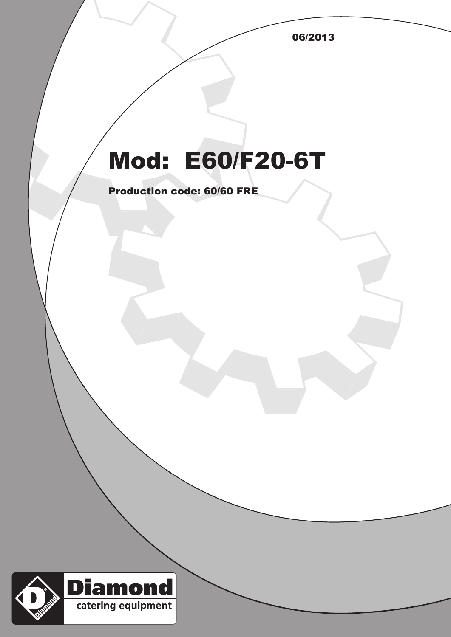06/2013

## Mod: E60/F20-6T

Production code: 60/60 FRE

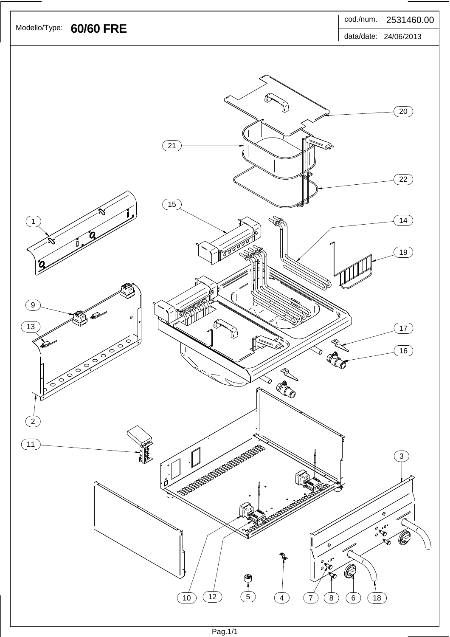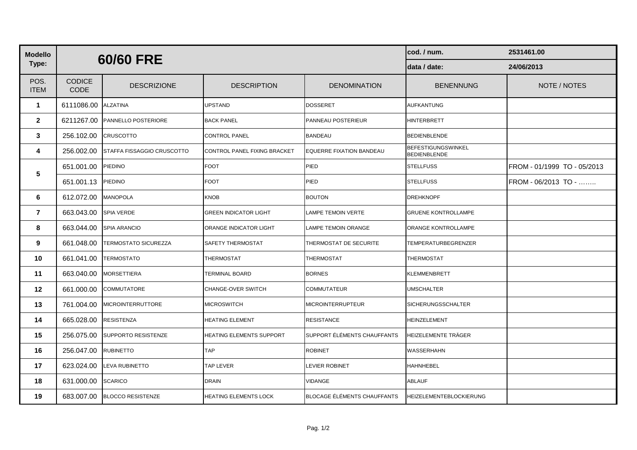| <b>Modello</b>      |                              | 60/60 FRE                  |                                 | cod. / num.                        | 2531461.00                                       |                             |
|---------------------|------------------------------|----------------------------|---------------------------------|------------------------------------|--------------------------------------------------|-----------------------------|
| Type:               |                              |                            |                                 | data / date:                       | 24/06/2013                                       |                             |
| POS.<br><b>ITEM</b> | <b>CODICE</b><br><b>CODE</b> | <b>DESCRIZIONE</b>         | <b>DESCRIPTION</b>              | <b>DENOMINATION</b>                | <b>BENENNUNG</b>                                 | NOTE / NOTES                |
| $\mathbf{1}$        | 6111086.00                   | <b>ALZATINA</b>            | <b>UPSTAND</b>                  | <b>DOSSERET</b>                    | AUFKANTUNG                                       |                             |
| $\mathbf{2}$        | 6211267.00                   | PANNELLO POSTERIORE        | <b>BACK PANEL</b>               | PANNEAU POSTERIEUR                 | HINTERBRETT                                      |                             |
| 3                   | 256.102.00                   | CRUSCOTTO                  | <b>CONTROL PANEL</b>            | <b>BANDEAU</b>                     | BEDIENBLENDE                                     |                             |
| 4                   | 256.002.00                   | STAFFA FISSAGGIO CRUSCOTTO | CONTROL PANEL FIXING BRACKET    | <b>EQUERRE FIXATION BANDEAU</b>    | <b>BEFESTIGUNGSWINKEL</b><br><b>BEDIENBLENDE</b> |                             |
| $5\phantom{.0}$     | 651.001.00                   | PIEDINO                    | <b>FOOT</b>                     | PIED                               | <b>STELLFUSS</b>                                 | FROM - 01/1999 TO - 05/2013 |
|                     | 651.001.13                   | PIEDINO                    | <b>FOOT</b>                     | PIED                               | <b>STELLFUSS</b>                                 | FROM - 06/2013 TO -         |
| 6                   | 612.072.00                   | <b>MANOPOLA</b>            | <b>KNOB</b>                     | <b>BOUTON</b>                      | DREHKNOPF                                        |                             |
| $\overline{7}$      | 663.043.00                   | SPIA VERDE                 | <b>GREEN INDICATOR LIGHT</b>    | LAMPE TEMOIN VERTE                 | <b>GRUENE KONTROLLAMPE</b>                       |                             |
| 8                   | 663.044.00                   | SPIA ARANCIO               | ORANGE INDICATOR LIGHT          | LAMPE TEMOIN ORANGE                | ORANGE KONTROLLAMPE                              |                             |
| 9                   | 661.048.00                   | TERMOSTATO SICUREZZA       | <b>SAFETY THERMOSTAT</b>        | THERMOSTAT DE SECURITE             | TEMPERATURBEGRENZER                              |                             |
| 10                  | 661.041.00                   | <b>TERMOSTATO</b>          | <b>THERMOSTAT</b>               | <b>THERMOSTAT</b>                  | <b>THERMOSTAT</b>                                |                             |
| 11                  | 663.040.00                   | <b>MORSETTIERA</b>         | <b>TERMINAL BOARD</b>           | <b>BORNES</b>                      | KLEMMENBRETT                                     |                             |
| $12 \,$             | 661.000.00                   | COMMUTATORE                | <b>CHANGE-OVER SWITCH</b>       | <b>COMMUTATEUR</b>                 | <b>UMSCHALTER</b>                                |                             |
| 13                  | 761.004.00                   | <b>MICROINTERRUTTORE</b>   | <b>MICROSWITCH</b>              | MICROINTERRUPTEUR                  | SICHERUNGSSCHALTER                               |                             |
| 14                  | 665.028.00                   | RESISTENZA                 | <b>HEATING ELEMENT</b>          | RESISTANCE                         | HEINZELEMENT                                     |                             |
| 15                  | 256.075.00                   | SUPPORTO RESISTENZE        | <b>HEATING ELEMENTS SUPPORT</b> | SUPPORT ÉLÉMENTS CHAUFFANTS        | HEIZELEMENTE TRÄGER                              |                             |
| 16                  | 256.047.00                   | RUBINETTO                  | <b>TAP</b>                      | <b>ROBINET</b>                     | WASSERHAHN                                       |                             |
| 17                  | 623.024.00                   | <b>LEVA RUBINETTO</b>      | <b>TAP LEVER</b>                | LEVIER ROBINET                     | HAHNHEBEL                                        |                             |
| 18                  | 631.000.00                   | <b>SCARICO</b>             | <b>DRAIN</b>                    | VIDANGE                            | <b>ABLAUF</b>                                    |                             |
| 19                  | 683.007.00                   | <b>BLOCCO RESISTENZE</b>   | <b>HEATING ELEMENTS LOCK</b>    | <b>BLOCAGE ÉLÉMENTS CHAUFFANTS</b> | HEIZELEMENTEBLOCKIERUNG                          |                             |